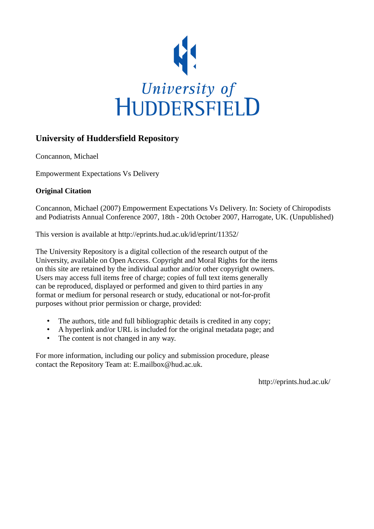

# **University of Huddersfield Repository**

Concannon, Michael

Empowerment Expectations Vs Delivery

## **Original Citation**

Concannon, Michael (2007) Empowerment Expectations Vs Delivery. In: Society of Chiropodists and Podiatrists Annual Conference 2007, 18th - 20th October 2007, Harrogate, UK. (Unpublished)

This version is available at http://eprints.hud.ac.uk/id/eprint/11352/

The University Repository is a digital collection of the research output of the University, available on Open Access. Copyright and Moral Rights for the items on this site are retained by the individual author and/or other copyright owners. Users may access full items free of charge; copies of full text items generally can be reproduced, displayed or performed and given to third parties in any format or medium for personal research or study, educational or not-for-profit purposes without prior permission or charge, provided:

- The authors, title and full bibliographic details is credited in any copy;
- A hyperlink and/or URL is included for the original metadata page; and
- The content is not changed in any way.

For more information, including our policy and submission procedure, please contact the Repository Team at: E.mailbox@hud.ac.uk.

http://eprints.hud.ac.uk/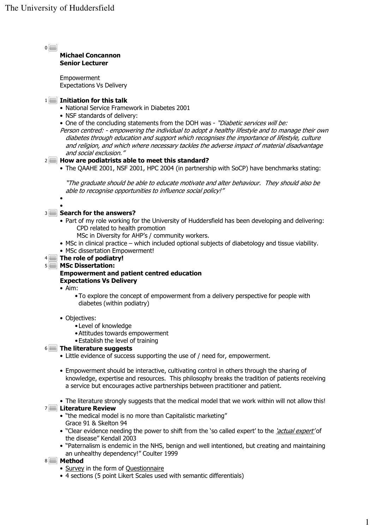$\overline{0}$ 

### Michael Concannon Senior Lecturer

Empowerment Expectations Vs Delivery

## $1$   $\blacksquare$  Initiation for this talk

- National Service Framework in Diabetes 2001
- NSF standards of delivery:
- One of the concluding statements from the DOH was "Diabetic services will be:
- Person centred: empowering the individual to adopt a healthy lifestyle and to manage their own diabetes through education and support which recognises the importance of lifestyle, culture and religion, and which where necessary tackles the adverse impact of material disadvantage and social exclusion."

### $2$   $\blacksquare$  How are podiatrists able to meet this standard?

• The QAAHE 2001, NSF 2001, HPC 2004 (in partnership with SoCP) have benchmarks stating:

"The graduate should be able to educate motivate and alter behaviour. They should also be able to recognise opportunities to influence social policy!"

•

#### • **Search for the answers?**

- Part of my role working for the University of Huddersfield has been developing and delivering: CPD related to health promotion
	- MSc in Diversity for AHP's / community workers.
- MSc in clinical practice which included optional subjects of diabetology and tissue viability.
- MSc dissertation Empowerment!

### $4 \blacksquare$  The role of podiatry!

#### MSc Dissertation: 5

### Empowerment and patient centred education Expectations Vs Delivery

- Aim:
	- •To explore the concept of empowerment from a delivery perspective for people with diabetes (within podiatry)
- Objectives:
	- •Level of knowledge
	- •Attitudes towards empowerment
	- •Establish the level of training

#### The literature suggests 6

- Little evidence of success supporting the use of / need for, empowerment.
- Empowerment should be interactive, cultivating control in others through the sharing of knowledge, expertise and resources. This philosophy breaks the tradition of patients receiving a service but encourages active partnerships between practitioner and patient.
- The literature strongly suggests that the medical model that we work within will not allow this!

#### 7**D** Literature Review

- "the medical model is no more than Capitalistic marketing" Grace 91 & Skelton 94
- "Clear evidence needing the power to shift from the 'so called expert' to the 'actual expert' of the disease" Kendall 2003
- "Paternalism is endemic in the NHS, benign and well intentioned, but creating and maintaining an unhealthy dependency!" Coulter 1999

#### 8 **Method**

- Survey in the form of Questionnaire
- 4 sections (5 point Likert Scales used with semantic differentials)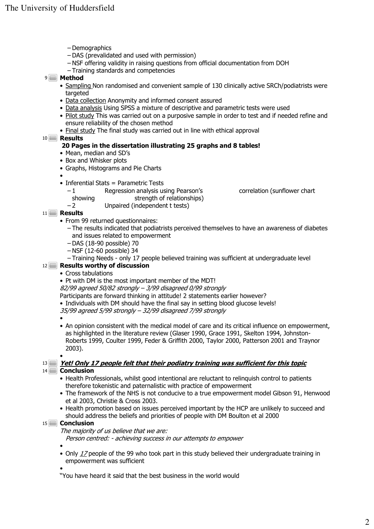- Demographics
- DAS (prevalidated and used with permission)
- NSF offering validity in raising questions from official documentation from DOH
- Training standards and competencies
- <sup>9</sup> Method
	- Sampling Non randomised and convenient sample of 130 clinically active SRCh/podiatrists were targeted
	- Data collection Anonymity and informed consent assured
	- Data analysis Using SPSS a mixture of descriptive and parametric tests were used
	- Pilot study This was carried out on a purposive sample in order to test and if needed refine and ensure reliability of the chosen method
	- Final study The final study was carried out in line with ethical approval

Results 10

#### 20 Pages in the dissertation illustrating 25 graphs and 8 tables!

- Mean, median and SD's
- Box and Whisker plots
- Graphs, Histograms and Pie Charts

•

- Inferential Stats = Parametric Tests
	- 1 Regression analysis using Pearson's correlation (sunflower chart showing strength of relationships)
		-
		-
	- $-2$  Unpaired (independent t tests)

11 **Results** 

- From 99 returned questionnaires:
	- The results indicated that podiatrists perceived themselves to have an awareness of diabetes and issues related to empowerment
	- DAS (18-90 possible) 70
	- NSF (12-60 possible) 34
	- Training Needs only 17 people believed training was sufficient at undergraduate level

#### Results worthy of discussion 12

- Cross tabulations
- Pt with DM is the most important member of the MDT!

82/99 agreed 50/82 strongly – 3/99 disagreed 0/99 strongly

- Participants are forward thinking in attitude! 2 statements earlier however?
- Individuals with DM should have the final say in setting blood glucose levels!
- 35/99 agreed 5/99 strongly 32/99 disagreed 7/99 strongly
- •

•

• An opinion consistent with the medical model of care and its critical influence on empowerment, as highlighted in the literature review (Glaser 1990, Grace 1991, Skelton 1994, Johnston-Roberts 1999, Coulter 1999, Feder & Griffith 2000, Taylor 2000, Patterson 2001 and Traynor 2003).

13 <u>Pet! Only 17 people felt that their podiatry training was sufficient for this topic</u> 14<sup>1</sup> Conclusion

- Health Professionals, whilst good intentional are reluctant to relinquish control to patients therefore tokenistic and paternalistic with practice of empowerment
- The framework of the NHS is not conducive to a true empowerment model Gibson 91, Henwood et al 2003, Christie & Cross 2003.
- Health promotion based on issues perceived important by the HCP are unlikely to succeed and should address the beliefs and priorities of people with DM Boulton et al 2000

#### 15<sup>
</sup>Conclusion

The majority of us believe that we are:

Person centred: - achieving success in our attempts to empower

• • Only 17 people of the 99 who took part in this study believed their undergraduate training in empowerment was sufficient

•

"You have heard it said that the best business in the world would